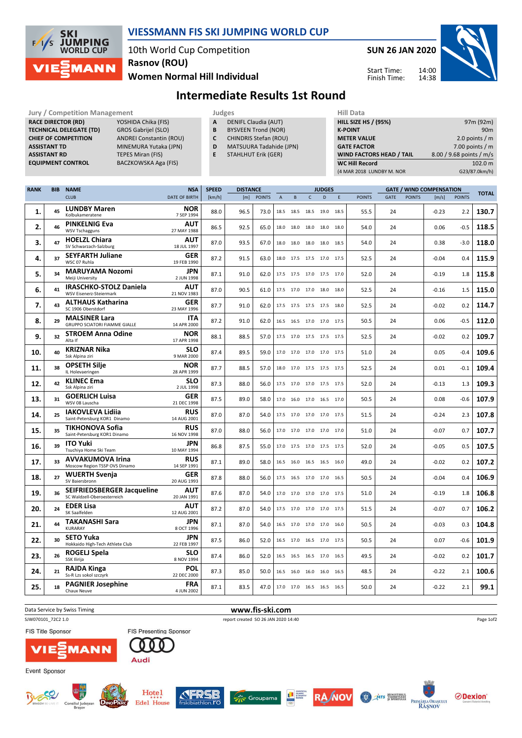

## VIESSMANN FIS SKI JUMPING WORLD CUP

10th World Cup Competition Rasnov (ROU)

Women Normal Hill Individual







## Intermediate Results 1st Round

| <b>RANK</b><br><b>NAME</b><br><b>BIB</b> |                                | <b>NSA</b><br><b>SPEED</b> | <b>DISTANCE</b>                | <b>JUDGES</b> | <b>GATE / WIND COMPENSATION</b> | -----                    |
|------------------------------------------|--------------------------------|----------------------------|--------------------------------|---------------|---------------------------------|--------------------------|
|                                          |                                |                            |                                |               |                                 |                          |
|                                          |                                |                            |                                |               | (4 MAR 2018 LUNDBY M. NOR       | G23/87.0km/h)            |
| <b>EQUIPMENT CONTROL</b>                 | BACZKOWSKA Aga (FIS)           |                            |                                |               | <b>WC Hill Record</b>           | 102.0 m                  |
| <b>ASSISTANT RD</b>                      | TEPES Miran (FIS)              | E.                         | <b>STAHLHUT Erik (GER)</b>     |               | <b>WIND FACTORS HEAD / TAIL</b> | 8.00 / 9.68 points / m/s |
| <b>ASSISTANT TD</b>                      | MINEMURA Yutaka (JPN)          | D                          | <b>MATSUURA Tadahide (JPN)</b> |               | <b>GATE FACTOR</b>              | 7.00 points / $m$        |
| <b>CHIEF OF COMPETITION</b>              | <b>ANDREI Constantin (ROU)</b> | C                          | CHINDRIS Stefan (ROU)          |               | <b>METER VALUE</b>              | 2.0 points / $m$         |
| <b>TECHNICAL DELEGATE (TD)</b>           | GROS Gabrijel (SLO)            | B                          | <b>BYSVEEN Trond (NOR)</b>     |               | <b>K-POINT</b>                  | 90 <sub>m</sub>          |
| <b>RACE DIRECTOR (RD)</b>                | YOSHIDA Chika (FIS)            | A                          | DENIFL Claudia (AUT)           |               | <b>HILL SIZE HS / (95%)</b>     | 97m (92m)                |
| <b>Jury / Competition Management</b>     |                                |                            | Judges                         |               | <b>Hill Data</b>                |                          |

| <b>RANK</b> | <b>BIB</b> | <b>NAME</b>                                                      | <b>NSA</b>                | <b>SPEED</b> | <b>DISTANCE</b> |               |   |                |                          | <b>JUDGES</b> |   |               |      |               | <b>GATE / WIND COMPENSATION</b> |               |              |
|-------------|------------|------------------------------------------------------------------|---------------------------|--------------|-----------------|---------------|---|----------------|--------------------------|---------------|---|---------------|------|---------------|---------------------------------|---------------|--------------|
|             |            | <b>CLUB</b>                                                      | <b>DATE OF BIRTH</b>      | [km/h]       | [m]             | <b>POINTS</b> | A | B              | $\mathsf{C}$             | D             | E | <b>POINTS</b> | GATE | <b>POINTS</b> | [m/s]                           | <b>POINTS</b> | <b>TOTAL</b> |
| 1.          | 45         | <b>LUNDBY Maren</b><br>Kolbukameratene                           | NOR<br>7 SEP 1994         | 88.0         | 96.5            | 73.0          |   | 18.5 18.5 18.5 |                          | 19.0 18.5     |   | 55.5          | 24   |               | $-0.23$                         | 2.2           | 130.7        |
| 2.          | 46         | <b>PINKELNIG Eva</b><br><b>WSV Tschagguns</b>                    | <b>AUT</b><br>27 MAY 1988 | 86.5         | 92.5            | 65.0          |   |                | 18.0 18.0 18.0 18.0 18.0 |               |   | 54.0          | 24   |               | 0.06                            | $-0.5$        | 118.5        |
| 3.          | 47         | <b>HOELZL Chiara</b><br>SV Schwarzach-Salzburg                   | <b>AUT</b><br>18 JUL 1997 | 87.0         | 93.5            | 67.0          |   |                | 18.0 18.0 18.0 18.0 18.5 |               |   | 54.0          | 24   |               | 0.38                            | $-3.0$        | 118.0        |
| 4.          | 37         | <b>SEYFARTH Juliane</b><br>WSC 07 Ruhla                          | <b>GER</b><br>19 FEB 1990 | 87.2         | 91.5            | 63.0          |   |                | 18.0 17.5 17.5 17.0 17.5 |               |   | 52.5          | 24   |               | -0.04                           | 0.4           | 115.9        |
| 5.          | 34         | <b>MARUYAMA Nozomi</b><br>Meiji University                       | <b>JPN</b><br>2 JUN 1998  | 87.1         | 91.0            | 62.0          |   |                | 17.5 17.5 17.0 17.5 17.0 |               |   | 52.0          | 24   |               | $-0.19$                         | 1.8           | 115.8        |
| 6.          | 41         | <b>IRASCHKO-STOLZ Daniela</b><br><b>WSV Eisenerz-Steiermark</b>  | AUT<br>21 NOV 1983        | 87.0         | 90.5            | 61.0          |   |                | 17.5 17.0 17.0 18.0 18.0 |               |   | 52.5          | 24   |               | $-0.16$                         | 1.5           | 115.0        |
| 7.          | 43         | <b>ALTHAUS Katharina</b><br>SC 1906 Oberstdorf                   | GER<br>23 MAY 1996        | 87.7         | 91.0            | 62.0          |   |                | 17.5 17.5 17.5 17.5 18.0 |               |   | 52.5          | 24   |               | $-0.02$                         | 0.2           | 114.7        |
| 8.          | 29         | <b>MALSINER Lara</b><br><b>GRUPPO SCIATORI FIAMME GIALLE</b>     | <b>ITA</b><br>14 APR 2000 | 87.2         | 91.0            | 62.0          |   |                | 16.5 16.5 17.0 17.0 17.5 |               |   | 50.5          | 24   |               | 0.06                            | $-0.5$        | 112.0        |
| 9.          | 32         | <b>STROEM Anna Odine</b><br>Alta If                              | <b>NOR</b><br>17 APR 1998 | 88.1         | 88.5            | 57.0          |   |                | 17.5 17.0 17.5 17.5 17.5 |               |   | 52.5          | 24   |               | $-0.02$                         | 0.2           | 109.7        |
| 10.         | 40         | <b>KRIZNAR Nika</b><br>Ssk Alpina ziri                           | <b>SLO</b><br>9 MAR 2000  | 87.4         | 89.5            | 59.0          |   |                | 17.0 17.0 17.0 17.0 17.5 |               |   | 51.0          | 24   |               | 0.05                            | $-0.4$        | 109.6        |
| 11.         | 38         | <b>OPSETH Silje</b><br>IL Holevaeringen                          | <b>NOR</b><br>28 APR 1999 | 87.7         | 88.5            | 57.0          |   |                | 18.0 17.0 17.5 17.5 17.5 |               |   | 52.5          | 24   |               | 0.01                            | $-0.1$        | 109.4        |
| 12.         | 42         | <b>KLINEC Ema</b><br>Ssk Alpina ziri                             | <b>SLO</b><br>2 JUL 1998  | 87.3         | 88.0            | 56.0          |   |                | 17.5 17.0 17.0 17.5 17.5 |               |   | 52.0          | 24   |               | $-0.13$                         | 1.3           | 109.3        |
| 13.         | 31         | <b>GOERLICH Luisa</b><br>WSV 08 Lauscha                          | <b>GER</b><br>21 DEC 1998 | 87.5         | 89.0            | 58.0          |   |                | 17.0 16.0 17.0 16.5 17.0 |               |   | 50.5          | 24   |               | 0.08                            | $-0.6$        | 107.9        |
| 14.         | 25         | <b>IAKOVLEVA Lidiia</b><br>Saint-Petersburg KOR1 Dinamo          | <b>RUS</b><br>14 AUG 2001 | 87.0         | 87.0            | 54.0          |   |                | 17.5 17.0 17.0 17.0 17.5 |               |   | 51.5          | 24   |               | $-0.24$                         | 2.3           | 107.8        |
| 15.         | 35         | TIKHONOVA Sofia<br>Saint-Petersburg KOR1 Dinamo                  | <b>RUS</b><br>16 NOV 1998 | 87.0         | 88.0            | 56.0          |   |                | 17.0 17.0 17.0 17.0 17.0 |               |   | 51.0          | 24   |               | $-0.07$                         | 0.7           | 107.7        |
| 16.         | 39         | <b>ITO Yuki</b><br>Tsuchiya Home Ski Team                        | <b>JPN</b><br>10 MAY 1994 | 86.8         | 87.5            | 55.0          |   |                | 17.0 17.5 17.0 17.5 17.5 |               |   | 52.0          | 24   |               | $-0.05$                         | 0.5           | 107.5        |
| 17.         | 33         | <b>AVVAKUMOVA Irina</b><br>Moscow Region TSSP OVS Dinamo         | <b>RUS</b><br>14 SEP 1991 | 87.1         | 89.0            | 58.0          |   |                | 16.5 16.0 16.5 16.5 16.0 |               |   | 49.0          | 24   |               | $-0.02$                         | 0.2           | 107.2        |
| 18.         | 27         | <b>WUERTH Svenja</b><br>SV Baiersbronn                           | <b>GER</b><br>20 AUG 1993 | 87.8         | 88.0            | 56.0          |   |                | 17.5 16.5 17.0 17.0 16.5 |               |   | 50.5          | 24   |               | $-0.04$                         | 0.4           | 106.9        |
| 19.         | 36         | <b>SEIFRIEDSBERGER Jacqueline</b><br>SC Waldzell-Oberoesterreich | <b>AUT</b><br>20 JAN 1991 | 87.6         | 87.0            | 54.0          |   |                | 17.0 17.0 17.0 17.0 17.5 |               |   | 51.0          | 24   |               | $-0.19$                         | 1.8           | 106.8        |
| 20.         | 24         | <b>EDER Lisa</b><br>SK Saalfelden                                | AUT<br>12 AUG 2001        | 87.2         | 87.0            | 54.0          |   |                | 17.5 17.0 17.0 17.0 17.5 |               |   | 51.5          | 24   |               | $-0.07$                         | 0.7           | 106.2        |
| 21.         | 44         | TAKANASHI Sara<br><b>KURARAY</b>                                 | JPN<br>8 OCT 1996         | 87.1         | 87.0            | 54.0          |   | 16.5 17.0 17.0 |                          | 17.0 16.0     |   | 50.5          | 24   |               | $-0.03$                         | 0.3           | 104.8        |
| 22.         | 30         | <b>SETO Yuka</b><br>Hokkaido High-Tech Athlete Club              | <b>JPN</b><br>22 FEB 1997 | 87.5         | 86.0            | 52.0          |   | 16.5 17.0      | 16.5 17.0 17.5           |               |   | 50.5          | 24   |               | 0.07                            | $-0.6$        | 101.9        |
| 23.         | 26         | ROGELJ Spela<br>SSK Ilirija                                      | <b>SLO</b><br>8 NOV 1994  | 87.4         | 86.0            | 52.0          |   |                | 16.5 16.5 16.5 17.0 16.5 |               |   | 49.5          | 24   |               | $-0.02$                         | 0.2           | 101.7        |
| 24.         | 21         | RAJDA Kinga<br>Ss-R Lzs sokol szczyrk                            | POL<br>22 DEC 2000        | 87.3         | 85.0            | 50.0          |   |                | 16.5 16.0 16.0 16.0 16.5 |               |   | 48.5          | 24   |               | $-0.22$                         | 2.1           | 100.6        |
| 25.         | 18         | <b>PAGNIER Josephine</b><br>Chaux Neuve                          | <b>FRA</b><br>4 JUN 2002  | 87.1         | 83.5            | 47.0          |   |                | 17.0 17.0 16.5 16.5 16.5 |               |   | 50.0          | 24   |               | $-0.22$                         | 2.1           | 99.1         |

Data Service by Swiss Timing **WWW.fis-ski.com** SJW070101\_72C2 1.0 report created SO 26 JAN 2020 14:40

FIS Title Sponsor

T

**WANN** 



Event Sponsor













Page 1of2